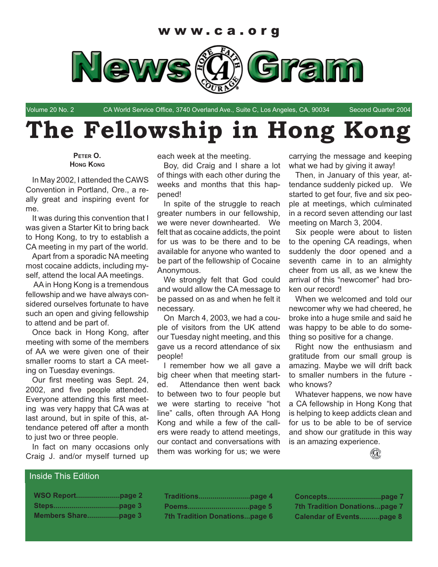

Volume 20 No. 2 CA World Service Office, 3740 Overland Ave., Suite C, Los Angeles, CA, 90034 Second Quarter 2004

# **The Fellowship in Hong Kong**

**PETER O. HONG KONG**

In May 2002, I attended the CAWS Convention in Portland, Ore., a really great and inspiring event for me.

It was during this convention that I was given a Starter Kit to bring back to Hong Kong, to try to establish a CA meeting in my part of the world.

Apart from a sporadic NA meeting most cocaine addicts, including myself, attend the local AA meetings.

 AA in Hong Kong is a tremendous fellowship and we have always considered ourselves fortunate to have such an open and giving fellowship to attend and be part of.

Once back in Hong Kong, after meeting with some of the members of AA we were given one of their smaller rooms to start a CA meeting on Tuesday evenings.

Our first meeting was Sept. 24, 2002, and five people attended. Everyone attending this first meeting was very happy that CA was at last around, but in spite of this, attendance petered off after a month to just two or three people.

In fact on many occasions only Craig J. and/or myself turned up each week at the meeting.

Boy, did Craig and I share a lot of things with each other during the weeks and months that this happened!

In spite of the struggle to reach greater numbers in our fellowship, we were never downhearted. We felt that as cocaine addicts, the point for us was to be there and to be available for anyone who wanted to be part of the fellowship of Cocaine Anonymous.

We strongly felt that God could and would allow the CA message to be passed on as and when he felt it necessary.

On March 4, 2003, we had a couple of visitors from the UK attend our Tuesday night meeting, and this gave us a record attendance of six people!

I remember how we all gave a big cheer when that meeting started. Attendance then went back to between two to four people but we were starting to receive "hot line" calls, often through AA Hong Kong and while a few of the callers were ready to attend meetings, our contact and conversations with them was working for us; we were

carrying the message and keeping what we had by giving it away!

Then, in January of this year, attendance suddenly picked up. We started to get four, five and six people at meetings, which culminated in a record seven attending our last meeting on March 3, 2004.

Six people were about to listen to the opening CA readings, when suddenly the door opened and a seventh came in to an almighty cheer from us all, as we knew the arrival of this "newcomer" had broken our record!

When we welcomed and told our newcomer why we had cheered, he broke into a huge smile and said he was happy to be able to do something so positive for a change.

Right now the enthusiasm and gratitude from our small group is amazing. Maybe we will drift back to smaller numbers in the future who knows?

Whatever happens, we now have a CA fellowship in Hong Kong that is helping to keep addicts clean and for us to be able to be of service and show our gratitude in this way is an amazing experience.



#### Inside This Edition

| <b>7th Tradition Donationspage 6</b> |  |
|--------------------------------------|--|

| Conceptspage 7                       |  |
|--------------------------------------|--|
| <b>7th Tradition Donationspage 7</b> |  |
| <b>Calendar of Eventspage 8</b>      |  |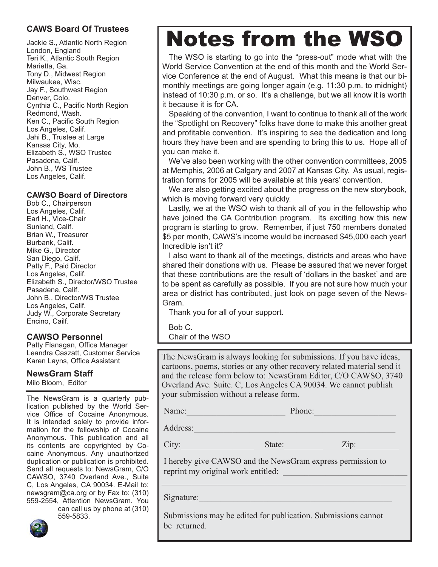### **CAWS Board Of Trustees**

Jackie S., Atlantic North Region London, England Teri K., Atlantic South Region Marietta, Ga. Tony D., Midwest Region Milwaukee, Wisc. Jay F., Southwest Region Denver, Colo. Cynthia C., Pacific North Region Redmond, Wash. Ken C., Pacific South Region Los Angeles, Calif. Jahi B., Trustee at Large Kansas City, Mo. Elizabeth S., WSO Trustee Pasadena, Calif. John B., WS Trustee Los Angeles, Calif.

#### **CAWSO Board of Directors**

Bob C., Chairperson Los Angeles, Calif. Earl H., Vice-Chair Sunland, Calif. Brian W., Treasurer Burbank, Calif. Mike G., Director San Diego, Calif. Patty F., Paid Director Los Angeles, Calif. Elizabeth S., Director/WSO Trustee Pasadena, Calif. John B., Director/WS Trustee Los Angeles, Calif. Judy W., Corporate Secretary Encino, Cailf.

### **CAWSO Personnel**

Patty Flanagan, Office Manager Leandra Caszatt, Customer Service Karen Layns, Office Assistant

## **NewsGram Staff**

Milo Bloom, Editor

The NewsGram is a quarterly publication published by the World Service Office of Cocaine Anonymous. It is intended solely to provide information for the fellowship of Cocaine Anonymous. This publication and all its contents are copyrighted by Cocaine Anonymous. Any unauthorized duplication or publication is prohibited. Send all requests to: NewsGram, C/O CAWSO, 3740 Overland Ave., Suite C, Los Angeles, CA 90034. E-Mail to: newsgram@ca.org or by Fax to: (310) 559-2554, Attention NewsGram. You

can call us by phone at (310) 559-5833.

# Notes from the WSO

The WSO is starting to go into the "press-out" mode what with the World Service Convention at the end of this month and the World Service Conference at the end of August. What this means is that our bimonthly meetings are going longer again (e.g. 11:30 p.m. to midnight) instead of 10:30 p.m. or so. It's a challenge, but we all know it is worth it because it is for CA.

Speaking of the convention, I want to continue to thank all of the work the "Spotlight on Recovery" folks have done to make this another great and profitable convention. It's inspiring to see the dedication and long hours they have been and are spending to bring this to us. Hope all of you can make it.

We've also been working with the other convention committees, 2005 at Memphis, 2006 at Calgary and 2007 at Kansas City. As usual, registration forms for 2005 will be available at this years' convention.

We are also getting excited about the progress on the new storybook, which is moving forward very quickly.

Lastly, we at the WSO wish to thank all of you in the fellowship who have joined the CA Contribution program. Its exciting how this new program is starting to grow. Remember, if just 750 members donated \$5 per month, CAWS's income would be increased \$45,000 each year! Incredible isn't it?

I also want to thank all of the meetings, districts and areas who have shared their donations with us. Please be assured that we never forget that these contributions are the result of 'dollars in the basket' and are to be spent as carefully as possible. If you are not sure how much your area or district has contributed, just look on page seven of the News-Gram.

Thank you for all of your support.

Bob C. Chair of the WSO

The NewsGram is always looking for submissions. If you have ideas, cartoons, poems, stories or any other recovery related material send it and the release form below to: NewsGram Editor, C/O CAWSO, 3740 Overland Ave. Suite. C, Los Angeles CA 90034. We cannot publish your submission without a release form.

Address:

Name: Thome: The Phone: The Phone: The Phone: The Phone: The Phone: The Phone: The Phone: The Phone: The Phone: The Phone: The Phone: The Phone: The Phone: The Phone: The Phone: The Phone: The Phone: The Phone: The Phone:

City:\_\_\_\_\_\_\_\_\_\_\_\_\_\_\_\_\_ State:\_\_\_\_\_\_\_\_\_ Zip:\_\_\_\_\_\_\_\_\_\_

 I hereby give CAWSO and the NewsGram express permission to reprint my original work entitled:

\_\_\_\_\_\_\_\_\_\_\_\_\_\_\_\_\_\_\_\_\_\_\_\_\_\_\_\_\_\_\_\_\_\_\_\_\_\_\_\_\_\_\_\_\_\_\_\_\_\_\_\_\_\_\_\_\_

Signature:

 Submissions may be edited for publication. Submissions cannot be returned.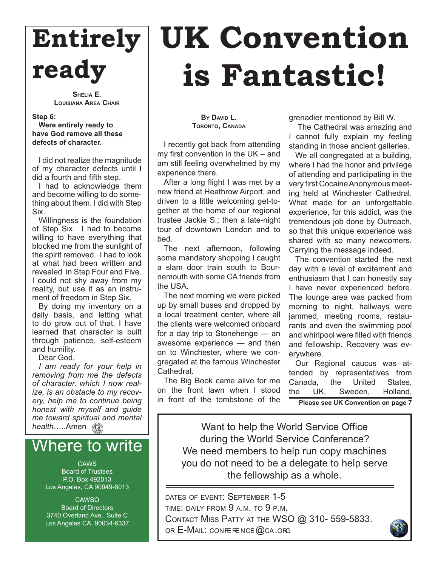# **Entirely ready**

**SHELIA E. LOUISIANA AREA CHAIR**

**Step 6:** 

**Were entirely ready to have God remove all these defects of character.** 

I did not realize the magnitude of my character defects until I did a fourth and fifth step.

I had to acknowledge them and become willing to do something about them. I did with Step Six.

Willingness is the foundation of Step Six. I had to become willing to have everything that blocked me from the sunlight of the spirit removed. I had to look at what had been written and revealed in Step Four and Five. I could not shy away from my reality, but use it as an instrument of freedom in Step Six.

By doing my inventory on a daily basis, and letting what to do grow out of that, I have learned that character is built through patience, self-esteem and humility.

Dear God,

*I am ready for your help in removing from me the defects of character, which I now realize, is an obstacle to my recovery, help me to continue being honest with myself and guide me toward spiritual and mental health*…..Amen

## Where to write

**CAWS** Board of Trustees P.O. Box 492013 Los Angeles, CA 90049-8013

**CAWSO** Board of Directors 3740 Overland Ave., Suite C Los Angeles CA. 90034-6337

# **UK Convention is Fantastic!**

**BY DAVID L. TORONTO, CANADA**

I recently got back from attending my first convention in the  $UK - and$ am still feeling overwhelmed by my experience there.

After a long flight I was met by a new friend at Heathrow Airport, and driven to a little welcoming get-together at the home of our regional trustee Jackie S.; then a late-night tour of downtown London and to bed.

The next afternoon, following some mandatory shopping I caught a slam door train south to Bournemouth with some CA friends from the USA.

The next morning we were picked up by small buses and dropped by a local treatment center, where all the clients were welcomed onboard for a day trip to Stonehenge — an awesome experience — and then on to Winchester, where we congregated at the famous Winchester Cathedral.

The Big Book came alive for me on the front lawn when I stood in front of the tombstone of the grenadier mentioned by Bill W.

 The Cathedral was amazing and I cannot fully explain my feeling standing in those ancient galleries.

We all congregated at a building, where I had the honor and privilege of attending and participating in the very first Cocaine Anonymous meeting held at Winchester Cathedral. What made for an unforgettable experience, for this addict, was the tremendous job done by Outreach, so that this unique experience was shared with so many newcomers. Carrying the message indeed.

The convention started the next day with a level of excitement and enthusiasm that I can honestly say I have never experienced before. The lounge area was packed from morning to night, hallways were jammed, meeting rooms, restaurants and even the swimming pool and whirlpool were filled with friends and fellowship. Recovery was everywhere.

Our Regional caucus was attended by representatives from Canada, the United States, the UK, Sweden, Holland, **Please see UK Convention on page 7**

Want to help the World Service Office during the World Service Conference? We need members to help run copy machines you do not need to be a delegate to help serve the fellowship as a whole.

DATES OF EVENT: SEPTEMBER 1-5 TIME: DAILY FROM 9 A.M. TO 9 P.M. CONTACT MISS PATTY AT THE WSO @ 310- 559-5833. OR  $E$ -MAIL: CONFERENCE  $@$ CA.ORG

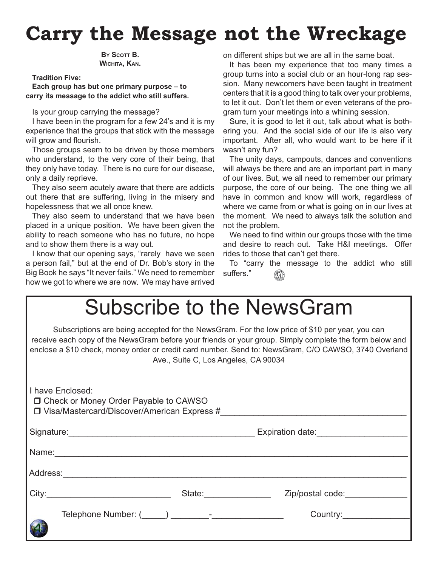# **Carry the Message not the Wreckage**

**BY SCOTT B. WICHITA, KAN.**

**Tradition Five:** 

**Each group has but one primary purpose – to carry its message to the addict who still suffers.**

Is your group carrying the message?

I have been in the program for a few 24's and it is my experience that the groups that stick with the message will grow and flourish.

Those groups seem to be driven by those members who understand, to the very core of their being, that they only have today. There is no cure for our disease, only a daily reprieve.

They also seem acutely aware that there are addicts out there that are suffering, living in the misery and hopelessness that we all once knew.

They also seem to understand that we have been placed in a unique position. We have been given the ability to reach someone who has no future, no hope and to show them there is a way out.

I know that our opening says, "rarely have we seen a person fail," but at the end of Dr. Bob's story in the Big Book he says "It never fails." We need to remember how we got to where we are now. We may have arrived

on different ships but we are all in the same boat.

It has been my experience that too many times a group turns into a social club or an hour-long rap session. Many newcomers have been taught in treatment centers that it is a good thing to talk over your problems, to let it out. Don't let them or even veterans of the program turn your meetings into a whining session.

Sure, it is good to let it out, talk about what is bothering you. And the social side of our life is also very important. After all, who would want to be here if it wasn't any fun?

The unity days, campouts, dances and conventions will always be there and are an important part in many of our lives. But, we all need to remember our primary purpose, the core of our being. The one thing we all have in common and know will work, regardless of where we came from or what is going on in our lives at the moment. We need to always talk the solution and not the problem.

We need to find within our groups those with the time and desire to reach out. Take H&I meetings. Offer rides to those that can't get there.

To "carry the message to the addict who still suffers." ∞

| Subscribe to the NewsGram                                                                                    |                                      |                                                                                                                                                                                                        |
|--------------------------------------------------------------------------------------------------------------|--------------------------------------|--------------------------------------------------------------------------------------------------------------------------------------------------------------------------------------------------------|
| receive each copy of the NewsGram before your friends or your group. Simply complete the form below and      | Ave., Suite C, Los Angeles, CA 90034 | Subscriptions are being accepted for the NewsGram. For the low price of \$10 per year, you can<br>enclose a \$10 check, money order or credit card number. Send to: NewsGram, C/O CAWSO, 3740 Overland |
| I have Enclosed:<br>□ Check or Money Order Payable to CAWSO<br>□ Visa/Mastercard/Discover/American Express # |                                      |                                                                                                                                                                                                        |
|                                                                                                              |                                      |                                                                                                                                                                                                        |
| Name: Name:                                                                                                  |                                      |                                                                                                                                                                                                        |
|                                                                                                              |                                      |                                                                                                                                                                                                        |
|                                                                                                              |                                      | State: Zip/postal code:                                                                                                                                                                                |
|                                                                                                              |                                      |                                                                                                                                                                                                        |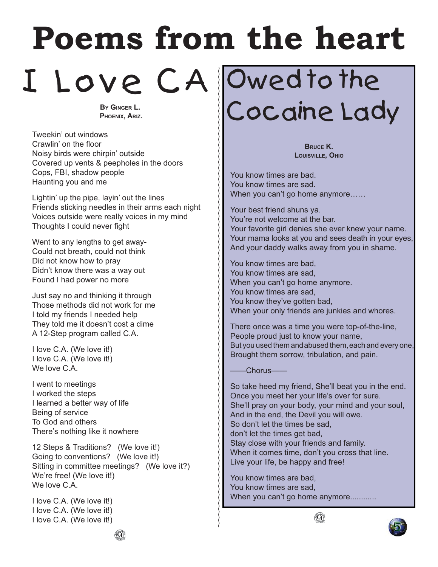# **Poems from the heart**

I Love CA Owed to the

**BY GINGER L. PHOENIX, ARIZ.**

Tweekin' out windows Crawlin' on the floor Noisy birds were chirpin' outside Covered up vents & peepholes in the doors Cops, FBI, shadow people Haunting you and me

Lightin' up the pipe, layin' out the lines Friends sticking needles in their arms each night Voices outside were really voices in my mind Thoughts I could never fight

Went to any lengths to get away-Could not breath, could not think Did not know how to pray Didn't know there was a way out Found I had power no more

Just say no and thinking it through Those methods did not work for me I told my friends I needed help They told me it doesn't cost a dime A 12-Step program called C.A.

I love C.A. (We love it!) I love C.A. (We love it!) We love C.A.

I went to meetings I worked the steps I learned a better way of life Being of service To God and others There's nothing like it nowhere

12 Steps & Traditions? (We love it!) Going to conventions? (We love it!) Sitting in committee meetings? (We love it?) We're free! (We love it!) We love C.A.

I love C.A. (We love it!) I love C.A. (We love it!) I love C.A. (We love it!) Cocaine Lady

**BRUCE K. LOUISVILLE, OHIO**

You know times are bad. You know times are sad. When you can't go home anymore……

Your best friend shuns ya. You're not welcome at the bar. Your favorite girl denies she ever knew your name. Your mama looks at you and sees death in your eyes, And your daddy walks away from you in shame.

You know times are bad, You know times are sad, When you can't go home anymore. You know times are sad, You know they've gotten bad, When your only friends are junkies and whores.

There once was a time you were top-of-the-line, People proud just to know your name, But you used them and abused them, each and every one, Brought them sorrow, tribulation, and pain.

-Chorus-

So take heed my friend, She'll beat you in the end. Once you meet her your life's over for sure. She'll pray on your body, your mind and your soul, And in the end, the Devil you will owe. So don't let the times be sad, don't let the times get bad, Stay close with your friends and family. When it comes time, don't you cross that line. Live your life, be happy and free!

You know times are bad, You know times are sad, When you can't go home anymore............

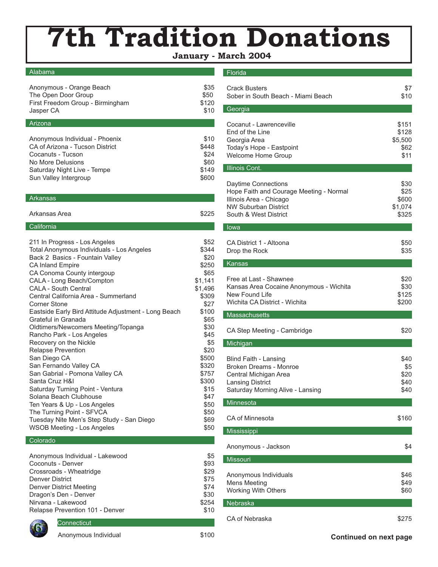# **7th Tradition Donations**

#### **January - March 2004**

#### Alabama

| Anonymous - Orange Beach         | \$35  |
|----------------------------------|-------|
| The Open Door Group              | \$50  |
| First Freedom Group - Birmingham | \$120 |
| Jasper CA                        | \$10  |
| Arizona                          |       |

| Anonymous Individual - Phoenix  | \$10  |
|---------------------------------|-------|
| CA of Arizona - Tucson District | \$448 |
| Cocanuts - Tucson               | \$24  |
| No More Delusions               | \$60  |
| Saturday Night Live - Tempe     | \$149 |
| Sun Valley Intergroup           | \$600 |
|                                 |       |

#### **Arkansas**

| Arkansas Area | \$225 |
|---------------|-------|
|               |       |

#### **California**

| 211 In Progress - Los Angeles                        | \$52    |
|------------------------------------------------------|---------|
| Total Anonymous Individuals - Los Angeles            | \$344   |
| Back 2 Basics - Fountain Valley                      | \$20    |
| <b>CA Inland Empire</b>                              | \$250   |
| CA Conoma County intergoup                           | \$65    |
| CALA - Long Beach/Compton                            | \$1,141 |
| <b>CALA - South Central</b>                          | \$1,496 |
| Central California Area - Summerland                 | \$309   |
| Corner Stone                                         | \$27    |
| Eastside Early Bird Attitude Adjustment - Long Beach | \$100   |
| Grateful in Granada                                  | \$65    |
| Oldtimers/Newcomers Meeting/Topanga                  | \$30    |
| Rancho Park - Los Angeles                            | \$45    |
| Recovery on the Nickle                               | \$5     |
| <b>Relapse Prevention</b>                            | \$20    |
| San Diego CA                                         | \$500   |
| San Fernando Valley CA                               | \$320   |
| San Gabrial - Pomona Valley CA                       | \$757   |
| Santa Cruz H&I                                       | \$300   |
| Saturday Turning Point - Ventura                     | \$15    |
| Solana Beach Clubhouse                               | \$47    |
| Ten Years & Up - Los Angeles                         | \$50    |
| The Turning Point - SFVCA                            | \$50    |
| Tuesday Nite Men's Step Study - San Diego            | \$69    |
| <b>WSOB Meeting - Los Angeles</b>                    | \$50    |

#### **Colorado**

| Anonymous Individual - Lakewood | \$5   |
|---------------------------------|-------|
| Coconuts - Denver               | \$93  |
| Crossroads - Wheatridge         | \$29  |
| Denver District                 | \$75  |
| <b>Denver District Meeting</b>  | \$74  |
| Dragon's Den - Denver           | \$30  |
| Nirvana - Lakewood              | \$254 |
| Relapse Prevention 101 - Denver | \$10  |
|                                 |       |

#### **Florida**

| <b>Crack Busters</b><br>Sober in South Beach - Miami Beach                                                                                        | \$7<br>\$10                               |
|---------------------------------------------------------------------------------------------------------------------------------------------------|-------------------------------------------|
| Georgia                                                                                                                                           |                                           |
| Cocanut - Lawrenceville<br>End of the Line<br>Georgia Area<br>Today's Hope - Eastpoint<br>Welcome Home Group                                      | \$151<br>\$128<br>\$5,500<br>\$62<br>\$11 |
| <b>Illinois Cont.</b>                                                                                                                             |                                           |
| Daytime Connections<br>Hope Faith and Courage Meeting - Normal<br>Illinois Area - Chicago<br><b>NW Suburban District</b><br>South & West District | \$30<br>\$25<br>\$600<br>\$1,074<br>\$325 |
| Iowa                                                                                                                                              |                                           |
| CA District 1 - Altoona<br>Drop the Rock                                                                                                          | \$50<br>\$35                              |
| <b>Kansas</b>                                                                                                                                     |                                           |
| Free at Last - Shawnee<br>Kansas Area Cocaine Anonymous - Wichita<br>New Found Life<br>Wichita CA District - Wichita                              | \$20<br>\$30<br>\$125<br>\$200            |
| Massachusetts                                                                                                                                     |                                           |
| CA Step Meeting - Cambridge                                                                                                                       | \$20                                      |
| Michigan                                                                                                                                          |                                           |
| <b>Blind Faith - Lansing</b><br>Broken Dreams - Monroe<br>Central Michigan Area<br><b>Lansing District</b><br>Saturday Morning Alive - Lansing    | \$40<br>\$5<br>\$20<br>\$40<br>\$40       |
| Minnesota                                                                                                                                         |                                           |
| CA of Minnesota                                                                                                                                   | \$160                                     |
| Mississippi                                                                                                                                       |                                           |
| Anonymous - Jackson                                                                                                                               | \$4                                       |
| <b>Missouri</b>                                                                                                                                   |                                           |
| Anonymous Individuals<br>Mens Meeting<br><b>Working With Others</b>                                                                               | \$46<br>\$49<br>\$60                      |
| Nebraska                                                                                                                                          |                                           |
| CA of Nebraska                                                                                                                                    | \$275                                     |



**Connecticut**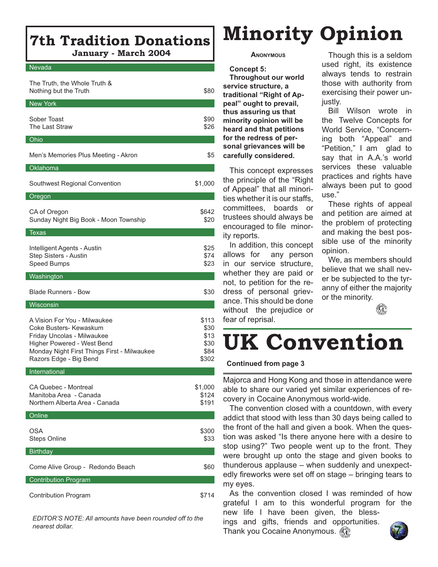## **7th Tradition Donations January - March 2004**

#### Nevada

| The Truth, the Whole Truth &<br>Nothing but the Truth                                                                                                                                       | \$80                                           |
|---------------------------------------------------------------------------------------------------------------------------------------------------------------------------------------------|------------------------------------------------|
| <b>New York</b>                                                                                                                                                                             |                                                |
| Sober Toast<br>The Last Straw                                                                                                                                                               | \$90<br>\$26                                   |
| Ohio                                                                                                                                                                                        |                                                |
| Men's Memories Plus Meeting - Akron                                                                                                                                                         | \$5                                            |
| Oklahoma                                                                                                                                                                                    |                                                |
| Southwest Regional Convention                                                                                                                                                               | \$1,000                                        |
| Oregon                                                                                                                                                                                      |                                                |
| CA of Oregon<br>Sunday Night Big Book - Moon Township                                                                                                                                       | \$642<br>\$20                                  |
| <b>Texas</b>                                                                                                                                                                                |                                                |
| Intelligent Agents - Austin<br>Step Sisters - Austin<br>Speed Bumps                                                                                                                         | \$25<br>\$74<br>\$23                           |
| Washington                                                                                                                                                                                  |                                                |
| <b>Blade Runners - Bow</b>                                                                                                                                                                  | \$30                                           |
| Wisconsin                                                                                                                                                                                   |                                                |
| A Vision For You - Milwaukee<br>Coke Busters- Kewaskum<br>Friday Uncolas - Milwaukee<br>Higher Powered - West Bend<br>Monday Night First Things First - Milwaukee<br>Razors Edge - Big Bend | \$113<br>\$30<br>\$13<br>\$30<br>\$84<br>\$302 |
| International                                                                                                                                                                               |                                                |
| <b>CA Quebec - Montreal</b><br>Manitoba Area - Canada<br>Northern Alberta Area - Canada                                                                                                     | \$1,000<br>\$124<br>\$191                      |
| Online                                                                                                                                                                                      |                                                |
| <b>OSA</b><br><b>Steps Online</b>                                                                                                                                                           | \$300<br>\$33                                  |
| <b>Birthday</b>                                                                                                                                                                             |                                                |
| Come Alive Group - Redondo Beach                                                                                                                                                            | \$60                                           |
| <b>Contribution Program</b>                                                                                                                                                                 |                                                |
| <b>Contribution Program</b>                                                                                                                                                                 | \$714                                          |

*EDITOR'S NOTE: All amounts have been rounded off to the nearest dollar.*

# **Minority Opinion**

#### **ANONYMOUS**

**Concept 5: Throughout our world service structure, a traditional "Right of Appeal" ought to prevail, thus assuring us that minority opinion will be heard and that petitions for the redress of personal grievances will be carefully considered.**

This concept expresses the principle of the "Right of Appeal" that all minorities whether it is our staffs, committees, boards or trustees should always be encouraged to file minority reports.

In addition, this concept allows for any person in our service structure, whether they are paid or not, to petition for the redress of personal grievance. This should be done without the prejudice or fear of reprisal.

Though this is a seldom used right, its existence always tends to restrain those with authority from exercising their power unjustly.

Bill Wilson wrote in the Twelve Concepts for World Service, "Concerning both "Appeal" and "Petition," I am glad to say that in A.A.'s world services these valuable practices and rights have always been put to good use."

These rights of appeal and petition are aimed at the problem of protecting and making the best possible use of the minority opinion.

We, as members should believe that we shall never be subjected to the tyranny of either the majority or the minority.

 $(\mathbf{G})$ 

# **UK Convention**

#### **Continued from page 3**

Majorca and Hong Kong and those in attendance were able to share our varied yet similar experiences of recovery in Cocaine Anonymous world-wide.

The convention closed with a countdown, with every addict that stood with less than 30 days being called to the front of the hall and given a book. When the question was asked "Is there anyone here with a desire to stop using?" Two people went up to the front. They were brought up onto the stage and given books to thunderous applause – when suddenly and unexpectedly fireworks were set off on stage – bringing tears to my eyes.

As the convention closed I was reminded of how grateful I am to this wonderful program for the new life I have been given, the bless-

ings and gifts, friends and opportunities. Thank you Cocaine Anonymous. (G)